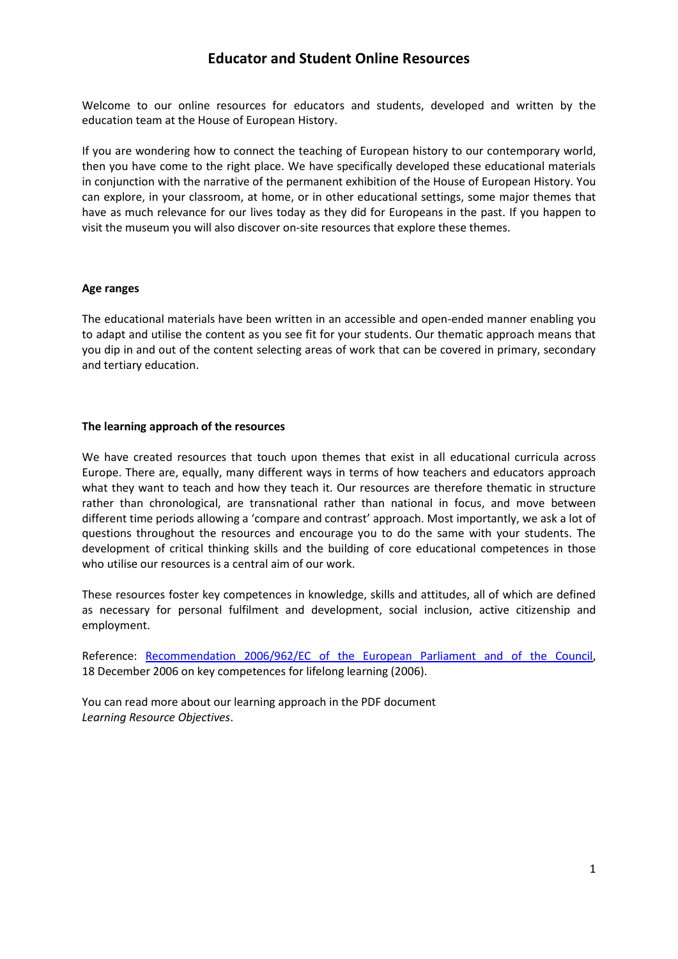# **Educator and Student Online Resources**

Welcome to our online resources for educators and students, developed and written by the education team at the House of European History.

If you are wondering how to connect the teaching of European history to our contemporary world, then you have come to the right place. We have specifically developed these educational materials in conjunction with the narrative of the permanent exhibition of the House of European History. You can explore, in your classroom, at home, or in other educational settings, some major themes that have as much relevance for our lives today as they did for Europeans in the past. If you happen to visit the museum you will also discover on-site resources that explore these themes.

#### **Age ranges**

The educational materials have been written in an accessible and open-ended manner enabling you to adapt and utilise the content as you see fit for your students. Our thematic approach means that you dip in and out of the content selecting areas of work that can be covered in primary, secondary and tertiary education.

# **The learning approach of the resources**

We have created resources that touch upon themes that exist in all educational curricula across Europe. There are, equally, many different ways in terms of how teachers and educators approach what they want to teach and how they teach it. Our resources are therefore thematic in structure rather than chronological, are transnational rather than national in focus, and move between different time periods allowing a 'compare and contrast' approach. Most importantly, we ask a lot of questions throughout the resources and encourage you to do the same with your students. The development of critical thinking skills and the building of core educational competences in those who utilise our resources is a central aim of our work.

These resources foster key competences in knowledge, skills and attitudes, all of which are defined as necessary for personal fulfilment and development, social inclusion, active citizenship and employment.

Reference: Recommendation 2006/962/EC of the European Parliament and of the Council, 18 December 2006 on key competences for lifelong learning (2006).

You can read more about our learning approach in the PDF document *Learning Resource Objectives*.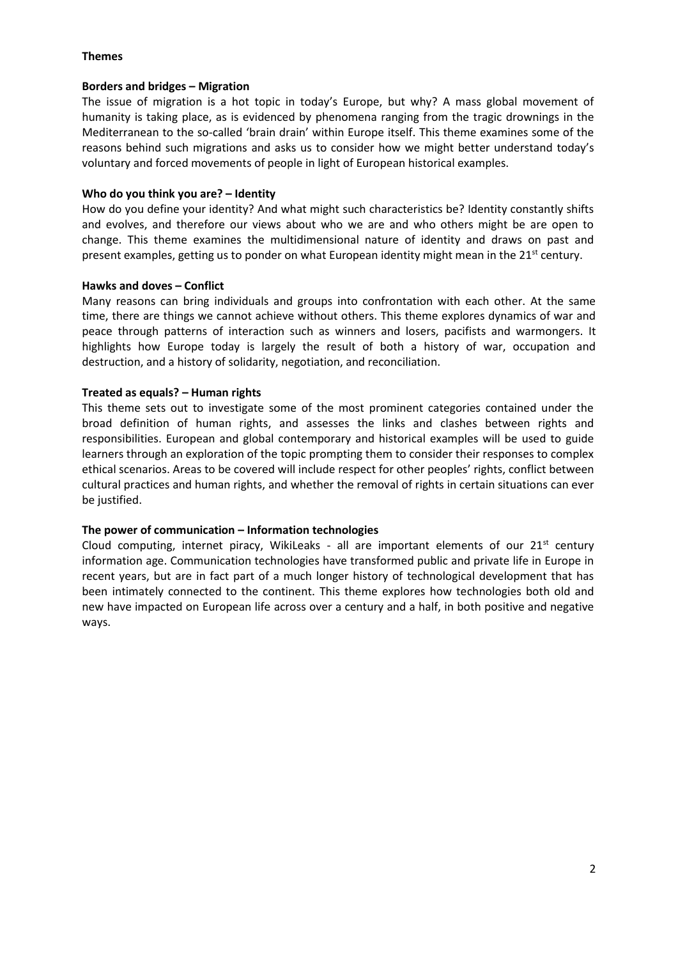# **Themes**

#### **Borders and bridges – Migration**

The issue of migration is a hot topic in today's Europe, but why? A mass global movement of humanity is taking place, as is evidenced by phenomena ranging from the tragic drownings in the Mediterranean to the so-called 'brain drain' within Europe itself. This theme examines some of the reasons behind such migrations and asks us to consider how we might better understand today's voluntary and forced movements of people in light of European historical examples.

# **Who do you think you are? – Identity**

How do you define your identity? And what might such characteristics be? Identity constantly shifts and evolves, and therefore our views about who we are and who others might be are open to change. This theme examines the multidimensional nature of identity and draws on past and present examples, getting us to ponder on what European identity might mean in the  $21<sup>st</sup>$  century.

#### **Hawks and doves – Conflict**

Many reasons can bring individuals and groups into confrontation with each other. At the same time, there are things we cannot achieve without others. This theme explores dynamics of war and peace through patterns of interaction such as winners and losers, pacifists and warmongers. It highlights how Europe today is largely the result of both a history of war, occupation and destruction, and a history of solidarity, negotiation, and reconciliation.

# **Treated as equals? – Human rights**

This theme sets out to investigate some of the most prominent categories contained under the broad definition of human rights, and assesses the links and clashes between rights and responsibilities. European and global contemporary and historical examples will be used to guide learners through an exploration of the topic prompting them to consider their responses to complex ethical scenarios. Areas to be covered will include respect for other peoples' rights, conflict between cultural practices and human rights, and whether the removal of rights in certain situations can ever be justified.

# **The power of communication – Information technologies**

Cloud computing, internet piracy, WikiLeaks - all are important elements of our  $21^{st}$  century information age. Communication technologies have transformed public and private life in Europe in recent years, but are in fact part of a much longer history of technological development that has been intimately connected to the continent. This theme explores how technologies both old and new have impacted on European life across over a century and a half, in both positive and negative ways.